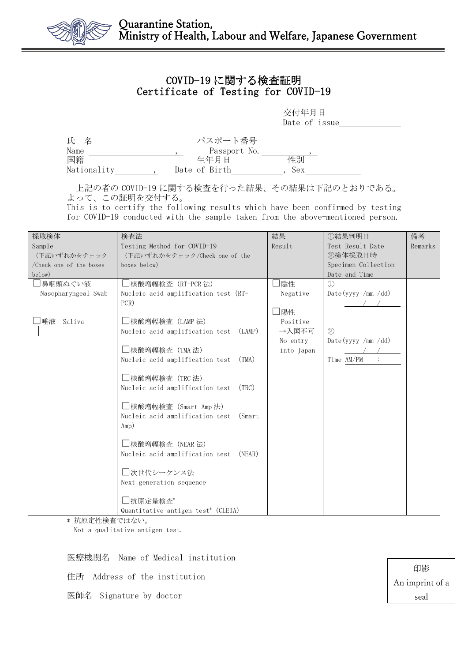

## COVID-19 に関する検査証明 Certificate of Testing for COVID-19

交付年月日 Date of issue\_

| 氏 名         | パスポート番号       |     |
|-------------|---------------|-----|
| Name        | Passport No.  |     |
| 国籍          | 生年月日          | 性別  |
| Nationality | Date of Birth | Sex |

上記の者の COVID-19 に関する検査を行った結果、その結果は下記のとおりである。 よって、この証明を交付する。

This is to certify the following results which have been confirmed by testing for COVID-19 conducted with the sample taken from the above-mentioned person.

| 採取検体                    | 検査法                                            | 結果         | ①結果判明日              | 備考      |
|-------------------------|------------------------------------------------|------------|---------------------|---------|
| Sample                  | Testing Method for COVID-19                    | Result     | Test Result Date    | Remarks |
| (下記いずれかをチェック            | (下記いずれかをチェック/Check one of the                  |            | ②検体採取日時             |         |
| /Check one of the boxes | boxes below)                                   |            | Specimen Collection |         |
| below)                  |                                                |            | Date and Time       |         |
| 鼻咽頭ぬぐい液                 | □核酸増幅検査(RT-PCR 法)                              | □陰性        | $\Omega$            |         |
| Nasopharyngeal Swab     | Nucleic acid amplification test (RT-           | Negative   | Date (yyyy /mm /dd) |         |
|                         | PCR)                                           |            |                     |         |
|                         |                                                | □陽性        |                     |         |
| □唾液<br>Saliva           | □核酸増幅検査(LAMP 法)                                | Positive   |                     |         |
|                         | Nucleic acid amplification test (LAMP)         | →入国不可      | (2)                 |         |
|                         |                                                | No entry   | Date (yyyy /mm /dd) |         |
|                         | □核酸増幅検査(TMA 法)                                 | into Japan |                     |         |
|                         | Nucleic acid amplification test<br>(TMA)       |            | Time AM/PM          |         |
|                         |                                                |            |                     |         |
|                         | □核酸増幅検査(TRC 法)                                 |            |                     |         |
|                         | Nucleic acid amplification test<br>(TRC)       |            |                     |         |
|                         |                                                |            |                     |         |
|                         | □核酸増幅検査(Smart Amp 法)                           |            |                     |         |
|                         | Nucleic acid amplification test<br>(Smart)     |            |                     |         |
|                         | Amp)                                           |            |                     |         |
|                         |                                                |            |                     |         |
|                         | □核酸増幅検査(NEAR 法)                                |            |                     |         |
|                         | Nucleic acid amplification test<br>(NEAR)      |            |                     |         |
|                         |                                                |            |                     |         |
|                         | □次世代シーケンス法                                     |            |                     |         |
|                         | Next generation sequence                       |            |                     |         |
|                         |                                                |            |                     |         |
|                         | □抗原定量検査*                                       |            |                     |         |
|                         | Quantitative antigen test <sup>*</sup> (CLEIA) |            |                     |         |

\* 抗原定性検査ではない。

Not a qualitative antigen test.

| 医療機関名 Name of Medical institution |                 |
|-----------------------------------|-----------------|
|                                   | 印影              |
| 住所 Address of the institution     | An imprint of a |
| 医師名 Signature by doctor           | seal            |